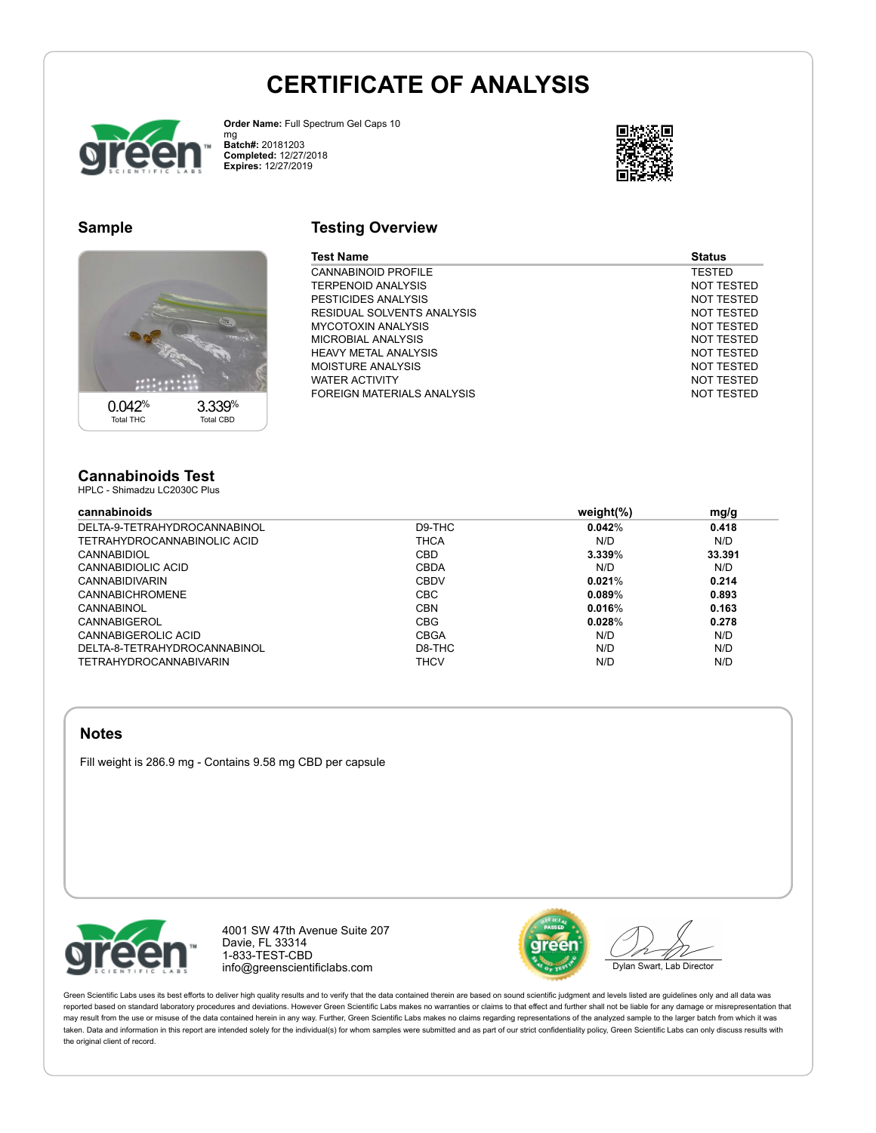## **CERTIFICATE OF ANALYSIS**



Order Name: Full Spectrum Gel Caps 10 mg<br>**Batch#:** 20181203 **CRPSOHWHG:** 12/27/2018 **Expires: 12/27/2019** 



## **Sample**



## **Testing Overview**

| Test Name                   | <b>Status</b> |
|-----------------------------|---------------|
| <b>CANNABINOID PROFILE</b>  | <b>TESTED</b> |
| <b>TERPENOID ANALYSIS</b>   | NOT TESTED    |
| PESTICIDES ANALYSIS         | NOT TESTED    |
| RESIDUAL SOLVENTS ANALYSIS  | NOT TESTED    |
| <b>MYCOTOXIN ANALYSIS</b>   | NOT TESTED    |
| MICROBIAL ANALYSIS          | NOT TESTED    |
| <b>HEAVY METAL ANALYSIS</b> | NOT TESTED    |
| <b>MOISTURE ANALYSIS</b>    | NOT TESTED    |
| <b>WATER ACTIVITY</b>       | NOT TESTED    |
| FOREIGN MATERIALS ANALYSIS  | NOT TESTED    |

#### **Cannabinoids Test** HPLC - Shimadzu LC2030C Plus

**Factures Factures Factures Factures Expedition 1 and 2 PJ/JCO PJ/JCO PJ/JCO PJ/JCO PJ/JCO PJ/JCO PJ/JCO PJ/JCO PJ/JCO PJ/JCO PJ/JCO PJ/JCO PJ/JCO PJ/JCO PJ** DELTA-9-TETRAHYDROCANNABINOL D9-THC **0.042**% **0.418** TETRAHYDROCANNABINOLIC ACID CANNABIDIOL CBD **3.339**% **33.391** CANNABIDIOLIC ACID CBDA N/D N/D CANNABIDIVARIN CBDV **0.021**% **0.214** CANNABICHROMENE CBC **0.089**% **0.893** CANNABINOL CBN **0.016**% **0.163** CANNABIGEROL CBG **0.028**% **0.278** CANNABIGEROLIC ACID CBGA N/D N/D DELTA-8-TETRAHYDROCANNABINOL D8-THC N/D N/D

TETRAHYDROCANNABIVARIN THCV N/D N/D

### **Notes**

Fill weight is 286.9 mg - Contains 9.58 mg CBD per capsule



4001 SW 47th AYenue Suite 207 DaYie, FL 33314 1-833-TEST-CBD info@greenscientificlabs.com



Dylan Swart, Lab Director

Green Scientific Labs uses its best efforts to deliver high quality results and to verify that the data contained therein are based on sound scientific judgment and levels listed are guidelines only and all data was reported based on standard laboratory procedures and deviations. However Green Scientific Labs makes no warranties or claims to that effect and further shall not be liable for any damage or misrepresentation that may result from the use or misuse of the data contained herein in any way. Further, Green Scientific Labs makes no claims regarding representations of the analyzed sample to the larger batch from which it was taken. Data and information in this report are intended solely for the individual(s) for whom samples were submitted and as part of our strict confidentiality policy, Green Scientific Labs can only discuss results with the original client of record.